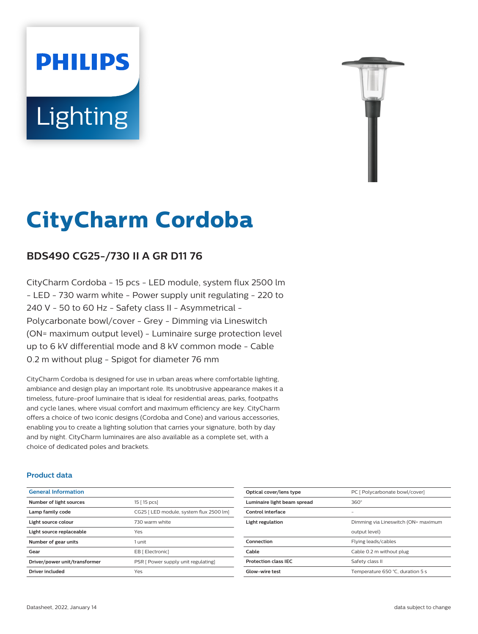# **PHILIPS Lighting**



## **CityCharm Cordoba**

#### **BDS490 CG25-/730 II A GR D11 76**

CityCharm Cordoba - 15 pcs - LED module, system flux 2500 lm - LED - 730 warm white - Power supply unit regulating - 220 to 240 V - 50 to 60 Hz - Safety class II - Asymmetrical - Polycarbonate bowl/cover - Grey - Dimming via Lineswitch (ON= maximum output level) - Luminaire surge protection level up to 6 kV differential mode and 8 kV common mode - Cable 0.2 m without plug - Spigot for diameter 76 mm

CityCharm Cordoba is designed for use in urban areas where comfortable lighting, ambiance and design play an important role. Its unobtrusive appearance makes it a timeless, future-proof luminaire that is ideal for residential areas, parks, footpaths and cycle lanes, where visual comfort and maximum efficiency are key. CityCharm offers a choice of two iconic designs (Cordoba and Cone) and various accessories, enabling you to create a lighting solution that carries your signature, both by day and by night. CityCharm luminaires are also available as a complete set, with a choice of dedicated poles and brackets.

#### **Product data**

| <b>General Information</b>    |                                         |
|-------------------------------|-----------------------------------------|
| Number of light sources       | 15 [ 15 pcs]                            |
| Lamp family code              | CG25   LED module, system flux 2500 lm] |
| Light source colour           | 730 warm white                          |
| Light source replaceable      | Yes                                     |
| Number of gear units          | 1 unit                                  |
| Gear                          | EB [ Electronic]                        |
| Driver/power unit/transformer | PSR [ Power supply unit regulating]     |
| Driver included               | Yes                                     |
|                               |                                         |

| Optical cover/lens type     | PC [ Polycarbonate bowl/cover]      |
|-----------------------------|-------------------------------------|
| Luminaire light beam spread | $360^\circ$                         |
| Control interface           | -                                   |
| Light regulation            | Dimming via Lineswitch (ON= maximum |
|                             | output level)                       |
| Connection                  | Flying leads/cables                 |
| Cable                       | Cable 0.2 m without plug            |
| <b>Protection class IEC</b> | Safety class II                     |
| Glow-wire test              | Temperature 650 °C, duration 5 s    |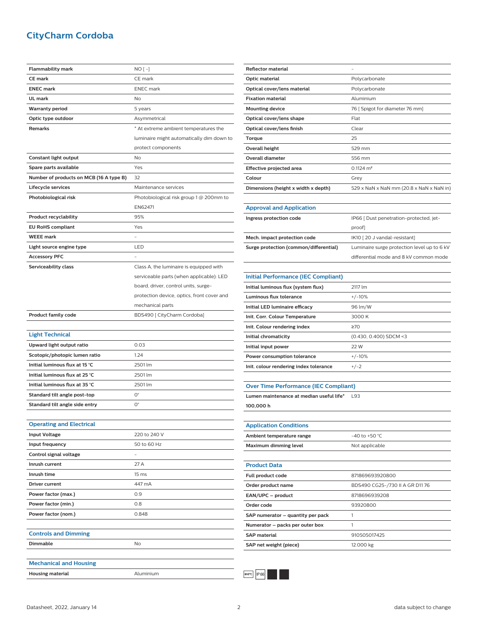#### **CityCharm Cordoba**

| <b>Flammability mark</b>                  | $NO[-]$                                    |
|-------------------------------------------|--------------------------------------------|
| <b>CE mark</b>                            | CE mark                                    |
| <b>ENEC mark</b>                          | <b>ENEC</b> mark                           |
| UL mark                                   | No                                         |
| <b>Warranty period</b>                    | 5 years                                    |
| Optic type outdoor                        | Asymmetrical                               |
| <b>Remarks</b>                            | * At extreme ambient temperatures the      |
|                                           | luminaire might automatically dim down to  |
|                                           | protect components                         |
| Constant light output                     | No                                         |
| Spare parts available                     | Yes                                        |
| Number of products on MCB (16 A type B)   | 32                                         |
| Lifecycle services                        | Maintenance services                       |
| Photobiological risk                      | Photobiological risk group 1 @ 200mm to    |
|                                           | EN62471                                    |
| <b>Product recyclability</b>              | 95%                                        |
| <b>EU RoHS compliant</b>                  | Yes                                        |
| <b>WEEE mark</b>                          |                                            |
| Light source engine type                  | LED                                        |
| Accessory PFC                             |                                            |
| Serviceability class                      | Class A, the luminaire is equipped with    |
|                                           | serviceable parts (when applicable): LED   |
|                                           | board, driver, control units, surge-       |
|                                           | protection device, optics, front cover and |
|                                           | mechanical parts                           |
| <b>Product family code</b>                | BDS490 [ CityCharm Cordoba]                |
|                                           |                                            |
| <b>Light Technical</b>                    |                                            |
| Upward light output ratio                 | 0.03                                       |
| Scotopic/photopic lumen ratio             | 1.24                                       |
| Initial luminous flux at 15 °C            | 2501 lm                                    |
| Initial luminous flux at 25 °C            | 2501 lm                                    |
| Initial luminous flux at 35 °C            | 2501 lm                                    |
| Standard tilt angle post-top              | $O^{\circ}$                                |
| Standard tilt angle side entry            | 0°                                         |
|                                           |                                            |
| <b>Operating and Electrical</b>           |                                            |
| <b>Input Voltage</b>                      | 220 to 240 V                               |
|                                           | 50 to 60 Hz                                |
| Input frequency<br>Control signal voltage |                                            |
| Inrush current                            |                                            |
|                                           | 27 A                                       |
| Inrush time                               | 15 ms                                      |
| Driver current                            | 447 mA                                     |
| Power factor (max.)                       | 0.9                                        |
| Power factor (min.)                       | 0.8                                        |
| Power factor (nom.)                       | 0.848                                      |
|                                           |                                            |
| <b>Controls and Dimming</b>               |                                            |
| Dimmable                                  | No                                         |
|                                           |                                            |
| <b>Mechanical and Housing</b>             |                                            |
| <b>Housing material</b>                   |                                            |

| <b>Reflector material</b>           |                                          |
|-------------------------------------|------------------------------------------|
| Optic material                      | Polycarbonate                            |
| Optical cover/lens material         | Polycarbonate                            |
| <b>Fixation material</b>            | Aluminium                                |
| <b>Mounting device</b>              | 76 [ Spigot for diameter 76 mm]          |
| Optical cover/lens shape            | Flat                                     |
| Optical cover/lens finish           | Clear                                    |
| Torque                              | 25                                       |
| <b>Overall height</b>               | 529 mm                                   |
| <b>Overall diameter</b>             | 556 mm                                   |
| Effective projected area            | $0.1124$ m <sup>2</sup>                  |
| Colour                              | Grey                                     |
| Dimensions (height x width x depth) | 529 x NaN x NaN mm (20.8 x NaN x NaN in) |
|                                     |                                          |
| <b>Approval and Application</b>     |                                          |

| Ingress protection code                | IP66 [ Dust penetration-protected, jet-     |
|----------------------------------------|---------------------------------------------|
|                                        | proofl                                      |
| Mech. impact protection code           | IK10 [20 J vandal-resistant]                |
| Surge protection (common/differential) | Luminaire surge protection level up to 6 kV |
|                                        | differential mode and 8 kV common mode      |

| <b>Initial Performance (IEC Compliant)</b> |                        |
|--------------------------------------------|------------------------|
| Initial luminous flux (system flux)        | 2117 Im                |
| Luminous flux tolerance                    | $+/-10%$               |
| Initial LED luminaire efficacy             | 96 lm/W                |
| Init. Corr. Colour Temperature             | 3000 K                 |
| Init. Colour rendering index               | 270                    |
| Initial chromaticity                       | (0.430, 0.400) SDCM <3 |
| Initial input power                        | 22 W                   |
| Power consumption tolerance                | $+/-10%$               |
| Init. colour rendering index tolerance     | $+/-2$                 |

**Lumen maintenance at median useful life\*** L93 **100,000 h**

### **Application Conditions** Ambient temperature range  $-40$  to +50 °C **Maximum dimming level** Not applicable

| <b>Product Data</b>               |                                |
|-----------------------------------|--------------------------------|
| Full product code                 | 871869693920800                |
| Order product name                | BDS490 CG25-/730 II A GR D1176 |
| EAN/UPC - product                 | 8718696939208                  |
| Order code                        | 93920800                       |
| SAP numerator - quantity per pack |                                |
| Numerator - packs per outer box   |                                |
| <b>SAP material</b>               | 910505017425                   |
| SAP net weight (piece)            | 12.000 kg                      |